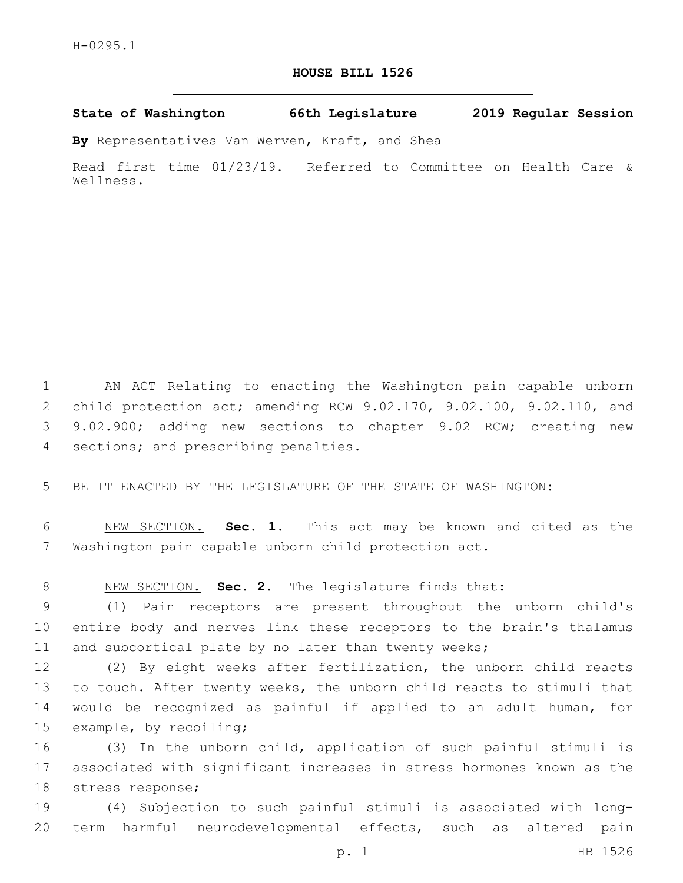## **HOUSE BILL 1526**

**State of Washington 66th Legislature 2019 Regular Session**

**By** Representatives Van Werven, Kraft, and Shea

Read first time 01/23/19. Referred to Committee on Health Care & Wellness.

 AN ACT Relating to enacting the Washington pain capable unborn child protection act; amending RCW 9.02.170, 9.02.100, 9.02.110, and 9.02.900; adding new sections to chapter 9.02 RCW; creating new 4 sections; and prescribing penalties.

5 BE IT ENACTED BY THE LEGISLATURE OF THE STATE OF WASHINGTON:

6 NEW SECTION. **Sec. 1.** This act may be known and cited as the 7 Washington pain capable unborn child protection act.

8 NEW SECTION. **Sec. 2.** The legislature finds that:

9 (1) Pain receptors are present throughout the unborn child's 10 entire body and nerves link these receptors to the brain's thalamus 11 and subcortical plate by no later than twenty weeks;

 (2) By eight weeks after fertilization, the unborn child reacts to touch. After twenty weeks, the unborn child reacts to stimuli that would be recognized as painful if applied to an adult human, for 15 example, by recoiling;

16 (3) In the unborn child, application of such painful stimuli is 17 associated with significant increases in stress hormones known as the 18 stress response;

19 (4) Subjection to such painful stimuli is associated with long-20 term harmful neurodevelopmental effects, such as altered pain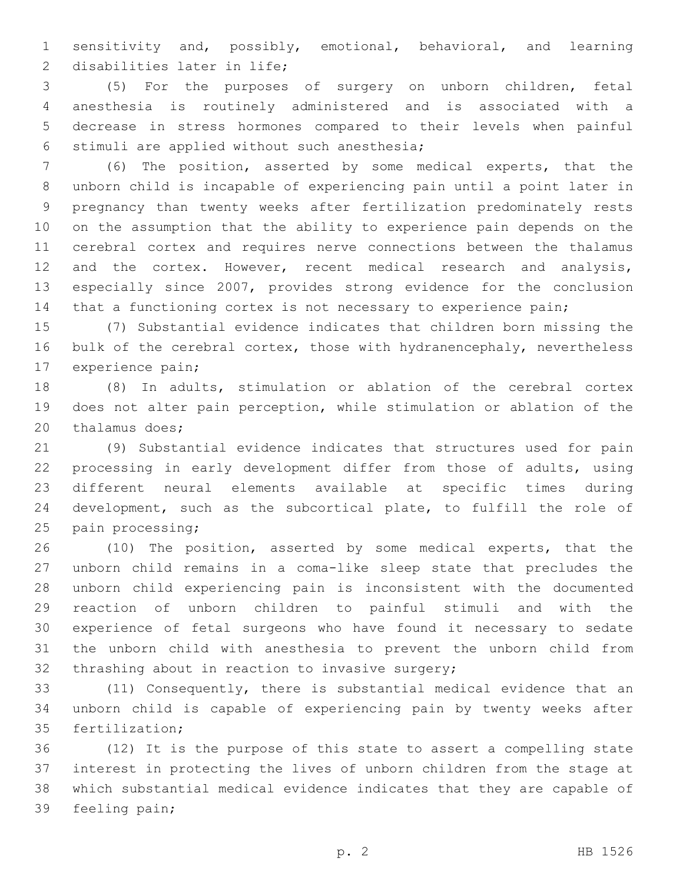sensitivity and, possibly, emotional, behavioral, and learning 2 disabilities later in life;

 (5) For the purposes of surgery on unborn children, fetal anesthesia is routinely administered and is associated with a decrease in stress hormones compared to their levels when painful 6 stimuli are applied without such anesthesia;

 (6) The position, asserted by some medical experts, that the unborn child is incapable of experiencing pain until a point later in pregnancy than twenty weeks after fertilization predominately rests on the assumption that the ability to experience pain depends on the cerebral cortex and requires nerve connections between the thalamus and the cortex. However, recent medical research and analysis, especially since 2007, provides strong evidence for the conclusion that a functioning cortex is not necessary to experience pain;

 (7) Substantial evidence indicates that children born missing the bulk of the cerebral cortex, those with hydranencephaly, nevertheless 17 experience pain;

 (8) In adults, stimulation or ablation of the cerebral cortex does not alter pain perception, while stimulation or ablation of the 20 thalamus does;

 (9) Substantial evidence indicates that structures used for pain processing in early development differ from those of adults, using different neural elements available at specific times during development, such as the subcortical plate, to fulfill the role of 25 pain processing;

 (10) The position, asserted by some medical experts, that the unborn child remains in a coma-like sleep state that precludes the unborn child experiencing pain is inconsistent with the documented reaction of unborn children to painful stimuli and with the experience of fetal surgeons who have found it necessary to sedate the unborn child with anesthesia to prevent the unborn child from 32 thrashing about in reaction to invasive surgery;

 (11) Consequently, there is substantial medical evidence that an unborn child is capable of experiencing pain by twenty weeks after 35 fertilization;

 (12) It is the purpose of this state to assert a compelling state interest in protecting the lives of unborn children from the stage at which substantial medical evidence indicates that they are capable of 39 feeling pain;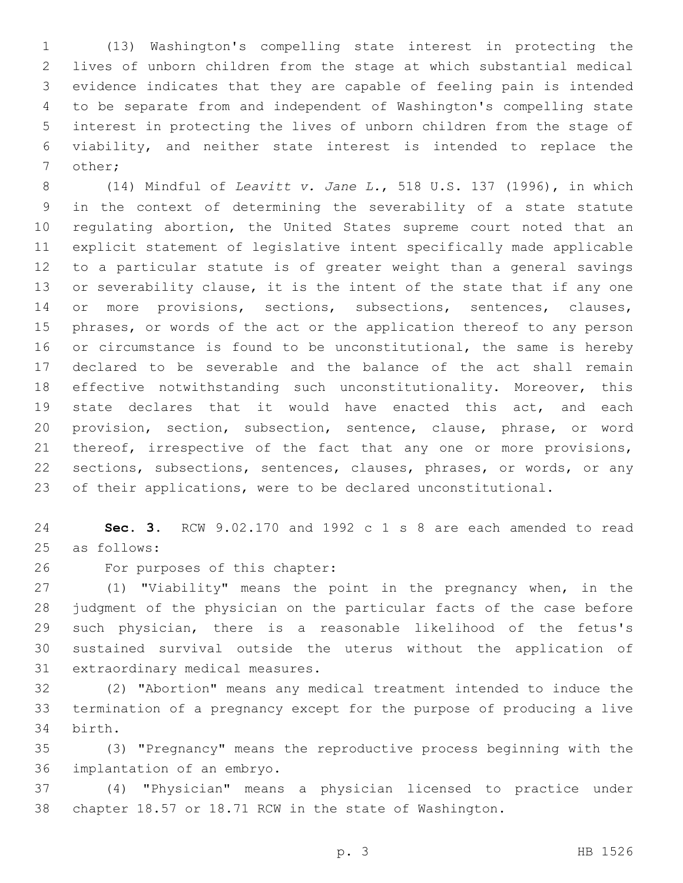(13) Washington's compelling state interest in protecting the lives of unborn children from the stage at which substantial medical evidence indicates that they are capable of feeling pain is intended to be separate from and independent of Washington's compelling state interest in protecting the lives of unborn children from the stage of viability, and neither state interest is intended to replace the 7 other;

 (14) Mindful of *Leavitt v. Jane L.*, 518 U.S. 137 (1996), in which in the context of determining the severability of a state statute regulating abortion, the United States supreme court noted that an explicit statement of legislative intent specifically made applicable to a particular statute is of greater weight than a general savings or severability clause, it is the intent of the state that if any one 14 or more provisions, sections, subsections, sentences, clauses, phrases, or words of the act or the application thereof to any person 16 or circumstance is found to be unconstitutional, the same is hereby declared to be severable and the balance of the act shall remain effective notwithstanding such unconstitutionality. Moreover, this state declares that it would have enacted this act, and each provision, section, subsection, sentence, clause, phrase, or word thereof, irrespective of the fact that any one or more provisions, sections, subsections, sentences, clauses, phrases, or words, or any of their applications, were to be declared unconstitutional.

 **Sec. 3.** RCW 9.02.170 and 1992 c 1 s 8 are each amended to read 25 as follows:

26 For purposes of this chapter:

 (1) "Viability" means the point in the pregnancy when, in the judgment of the physician on the particular facts of the case before such physician, there is a reasonable likelihood of the fetus's sustained survival outside the uterus without the application of 31 extraordinary medical measures.

 (2) "Abortion" means any medical treatment intended to induce the termination of a pregnancy except for the purpose of producing a live 34 birth.

 (3) "Pregnancy" means the reproductive process beginning with the 36 implantation of an embryo.

 (4) "Physician" means a physician licensed to practice under chapter 18.57 or 18.71 RCW in the state of Washington.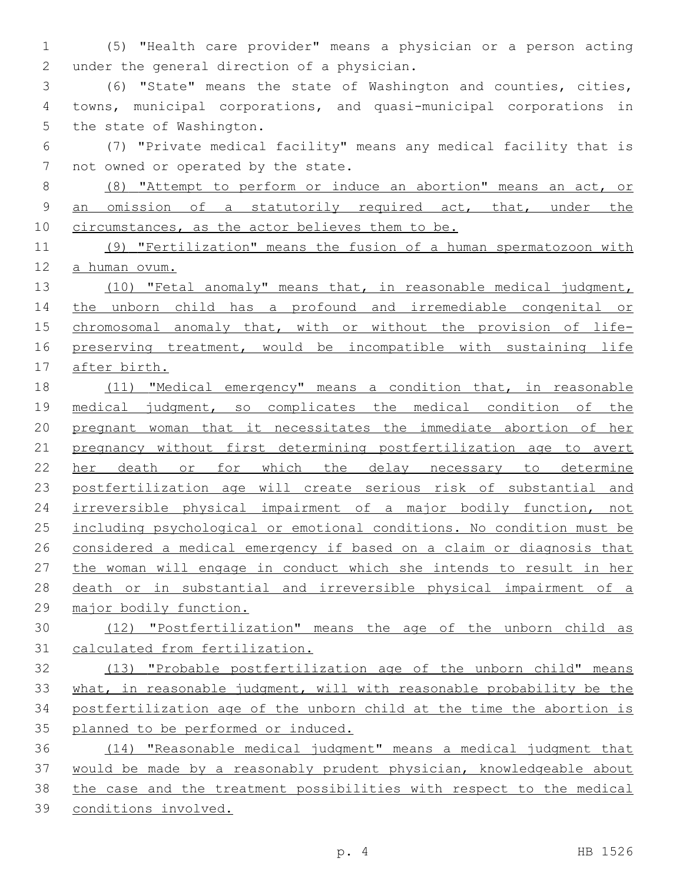(5) "Health care provider" means a physician or a person acting 2 under the general direction of a physician.

 (6) "State" means the state of Washington and counties, cities, towns, municipal corporations, and quasi-municipal corporations in 5 the state of Washington.

 (7) "Private medical facility" means any medical facility that is 7 not owned or operated by the state.

 (8) "Attempt to perform or induce an abortion" means an act, or an omission of a statutorily required act, that, under the 10 circumstances, as the actor believes them to be.

 (9) "Fertilization" means the fusion of a human spermatozoon with a human ovum.

 (10) "Fetal anomaly" means that, in reasonable medical judgment, the unborn child has a profound and irremediable congenital or chromosomal anomaly that, with or without the provision of life-16 preserving treatment, would be incompatible with sustaining life after birth.

 (11) "Medical emergency" means a condition that, in reasonable 19 medical judgment, so complicates the medical condition of the pregnant woman that it necessitates the immediate abortion of her pregnancy without first determining postfertilization age to avert her death or for which the delay necessary to determine 23 postfertilization age will create serious risk of substantial and 24 irreversible physical impairment of a major bodily function, not including psychological or emotional conditions. No condition must be considered a medical emergency if based on a claim or diagnosis that 27 the woman will engage in conduct which she intends to result in her death or in substantial and irreversible physical impairment of a major bodily function.

 (12) "Postfertilization" means the age of the unborn child as calculated from fertilization.

 (13) "Probable postfertilization age of the unborn child" means what, in reasonable judgment, will with reasonable probability be the postfertilization age of the unborn child at the time the abortion is planned to be performed or induced.

 (14) "Reasonable medical judgment" means a medical judgment that would be made by a reasonably prudent physician, knowledgeable about the case and the treatment possibilities with respect to the medical conditions involved.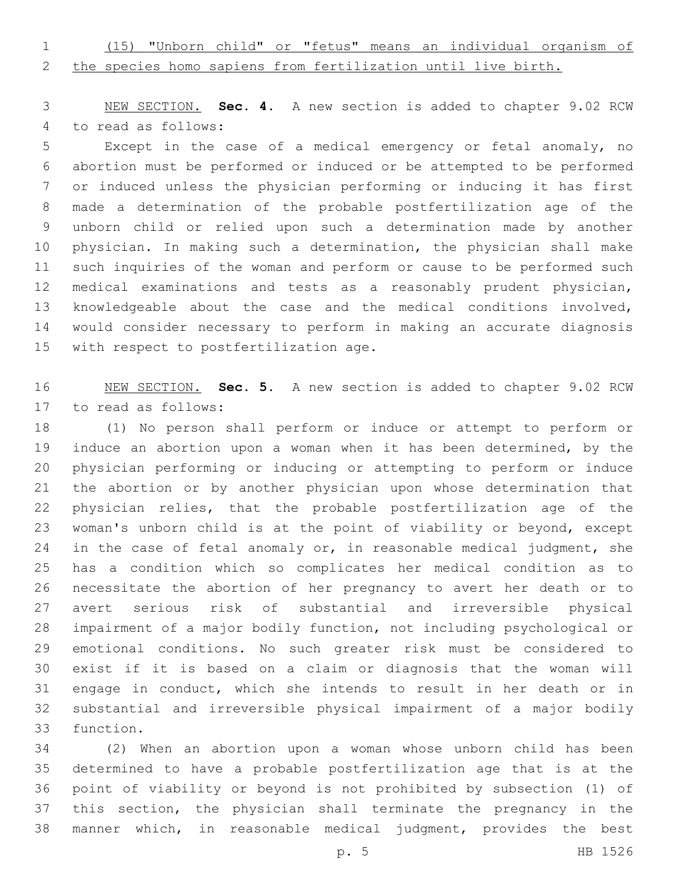(15) "Unborn child" or "fetus" means an individual organism of

the species homo sapiens from fertilization until live birth.

 NEW SECTION. **Sec. 4.** A new section is added to chapter 9.02 RCW 4 to read as follows:

 Except in the case of a medical emergency or fetal anomaly, no abortion must be performed or induced or be attempted to be performed or induced unless the physician performing or inducing it has first made a determination of the probable postfertilization age of the unborn child or relied upon such a determination made by another physician. In making such a determination, the physician shall make such inquiries of the woman and perform or cause to be performed such medical examinations and tests as a reasonably prudent physician, knowledgeable about the case and the medical conditions involved, would consider necessary to perform in making an accurate diagnosis 15 with respect to postfertilization age.

 NEW SECTION. **Sec. 5.** A new section is added to chapter 9.02 RCW 17 to read as follows:

 (1) No person shall perform or induce or attempt to perform or induce an abortion upon a woman when it has been determined, by the physician performing or inducing or attempting to perform or induce the abortion or by another physician upon whose determination that physician relies, that the probable postfertilization age of the woman's unborn child is at the point of viability or beyond, except 24 in the case of fetal anomaly or, in reasonable medical judgment, she has a condition which so complicates her medical condition as to necessitate the abortion of her pregnancy to avert her death or to avert serious risk of substantial and irreversible physical impairment of a major bodily function, not including psychological or emotional conditions. No such greater risk must be considered to exist if it is based on a claim or diagnosis that the woman will engage in conduct, which she intends to result in her death or in substantial and irreversible physical impairment of a major bodily 33 function.

 (2) When an abortion upon a woman whose unborn child has been determined to have a probable postfertilization age that is at the point of viability or beyond is not prohibited by subsection (1) of this section, the physician shall terminate the pregnancy in the manner which, in reasonable medical judgment, provides the best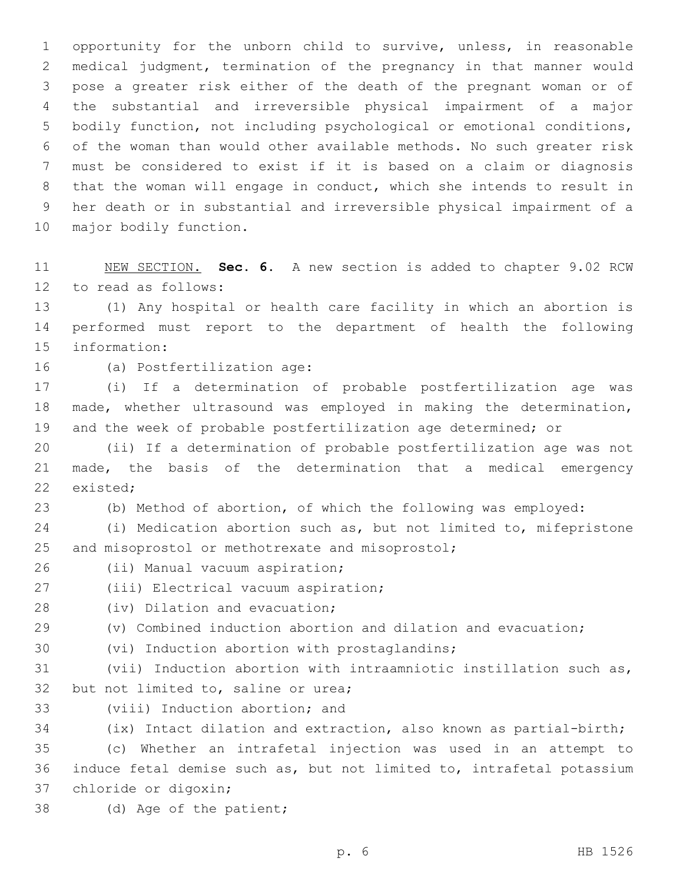opportunity for the unborn child to survive, unless, in reasonable medical judgment, termination of the pregnancy in that manner would pose a greater risk either of the death of the pregnant woman or of the substantial and irreversible physical impairment of a major bodily function, not including psychological or emotional conditions, of the woman than would other available methods. No such greater risk must be considered to exist if it is based on a claim or diagnosis that the woman will engage in conduct, which she intends to result in her death or in substantial and irreversible physical impairment of a 10 major bodily function.

 NEW SECTION. **Sec. 6.** A new section is added to chapter 9.02 RCW 12 to read as follows:

 (1) Any hospital or health care facility in which an abortion is performed must report to the department of health the following 15 information:

16 (a) Postfertilization age:

 (i) If a determination of probable postfertilization age was made, whether ultrasound was employed in making the determination, and the week of probable postfertilization age determined; or

 (ii) If a determination of probable postfertilization age was not made, the basis of the determination that a medical emergency 22 existed:

(b) Method of abortion, of which the following was employed:

 (i) Medication abortion such as, but not limited to, mifepristone 25 and misoprostol or methotrexate and misoprostol;

26 (ii) Manual vacuum aspiration;

- 27 (iii) Electrical vacuum aspiration;
- 28 (iv) Dilation and evacuation;
- (v) Combined induction abortion and dilation and evacuation;
- 30 (vi) Induction abortion with prostaglandins;

 (vii) Induction abortion with intraamniotic instillation such as, 32 but not limited to, saline or urea;

33 (viii) Induction abortion; and

(ix) Intact dilation and extraction, also known as partial-birth;

 (c) Whether an intrafetal injection was used in an attempt to induce fetal demise such as, but not limited to, intrafetal potassium 37 chloride or digoxin;

38 (d) Age of the patient;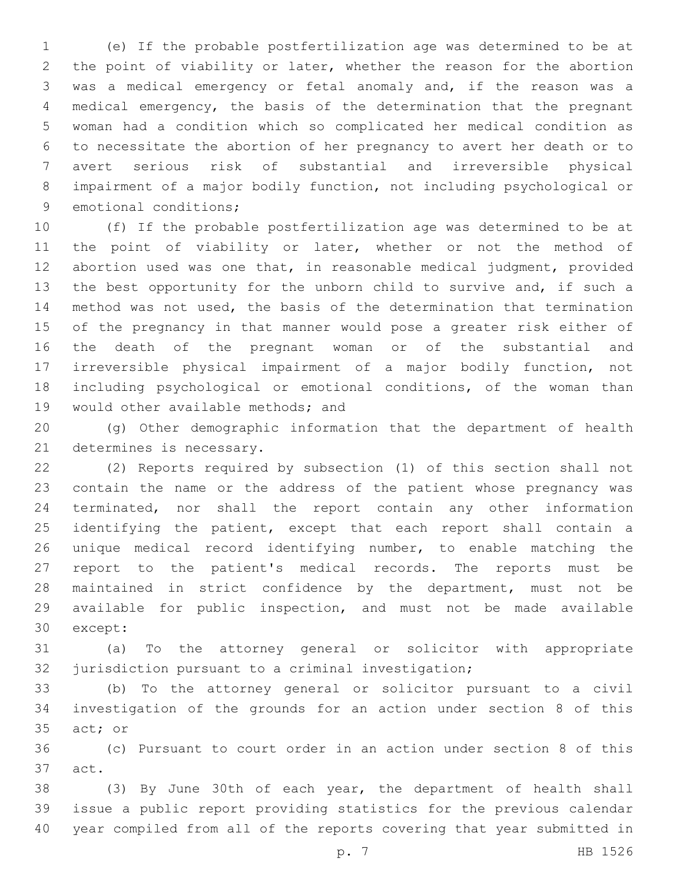(e) If the probable postfertilization age was determined to be at the point of viability or later, whether the reason for the abortion was a medical emergency or fetal anomaly and, if the reason was a medical emergency, the basis of the determination that the pregnant woman had a condition which so complicated her medical condition as to necessitate the abortion of her pregnancy to avert her death or to avert serious risk of substantial and irreversible physical impairment of a major bodily function, not including psychological or 9 emotional conditions;

 (f) If the probable postfertilization age was determined to be at the point of viability or later, whether or not the method of abortion used was one that, in reasonable medical judgment, provided the best opportunity for the unborn child to survive and, if such a method was not used, the basis of the determination that termination of the pregnancy in that manner would pose a greater risk either of the death of the pregnant woman or of the substantial and irreversible physical impairment of a major bodily function, not including psychological or emotional conditions, of the woman than 19 would other available methods; and

 (g) Other demographic information that the department of health 21 determines is necessary.

 (2) Reports required by subsection (1) of this section shall not contain the name or the address of the patient whose pregnancy was terminated, nor shall the report contain any other information 25 identifying the patient, except that each report shall contain a unique medical record identifying number, to enable matching the report to the patient's medical records. The reports must be maintained in strict confidence by the department, must not be available for public inspection, and must not be made available 30 except:

 (a) To the attorney general or solicitor with appropriate jurisdiction pursuant to a criminal investigation;

 (b) To the attorney general or solicitor pursuant to a civil investigation of the grounds for an action under section 8 of this 35 act; or

 (c) Pursuant to court order in an action under section 8 of this 37 act.

 (3) By June 30th of each year, the department of health shall issue a public report providing statistics for the previous calendar year compiled from all of the reports covering that year submitted in

p. 7 HB 1526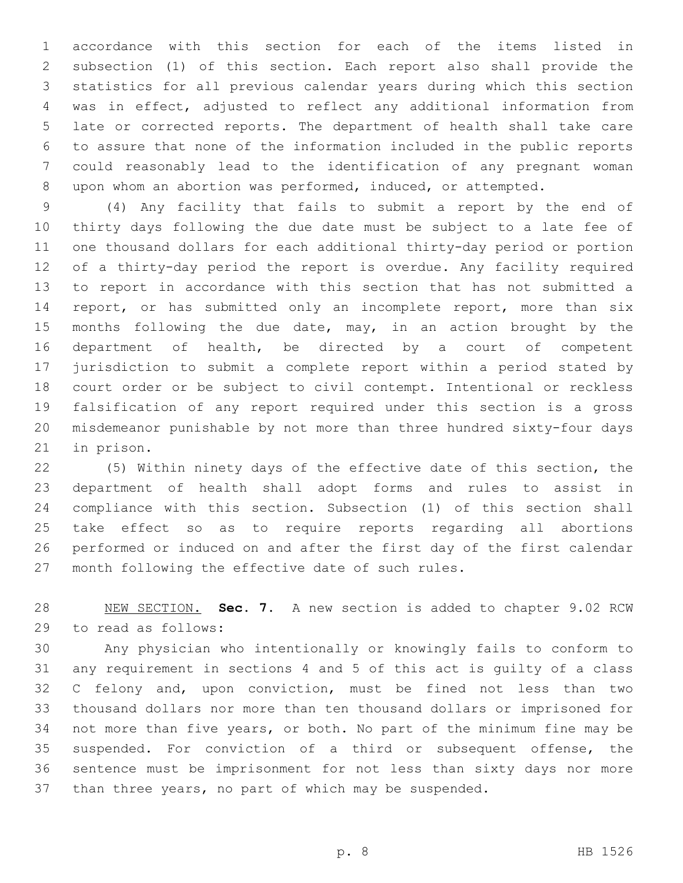accordance with this section for each of the items listed in subsection (1) of this section. Each report also shall provide the statistics for all previous calendar years during which this section was in effect, adjusted to reflect any additional information from late or corrected reports. The department of health shall take care to assure that none of the information included in the public reports could reasonably lead to the identification of any pregnant woman upon whom an abortion was performed, induced, or attempted.

 (4) Any facility that fails to submit a report by the end of thirty days following the due date must be subject to a late fee of one thousand dollars for each additional thirty-day period or portion of a thirty-day period the report is overdue. Any facility required to report in accordance with this section that has not submitted a 14 report, or has submitted only an incomplete report, more than six months following the due date, may, in an action brought by the department of health, be directed by a court of competent jurisdiction to submit a complete report within a period stated by court order or be subject to civil contempt. Intentional or reckless falsification of any report required under this section is a gross misdemeanor punishable by not more than three hundred sixty-four days 21 in prison.

 (5) Within ninety days of the effective date of this section, the department of health shall adopt forms and rules to assist in compliance with this section. Subsection (1) of this section shall take effect so as to require reports regarding all abortions performed or induced on and after the first day of the first calendar 27 month following the effective date of such rules.

 NEW SECTION. **Sec. 7.** A new section is added to chapter 9.02 RCW 29 to read as follows:

 Any physician who intentionally or knowingly fails to conform to any requirement in sections 4 and 5 of this act is guilty of a class C felony and, upon conviction, must be fined not less than two thousand dollars nor more than ten thousand dollars or imprisoned for not more than five years, or both. No part of the minimum fine may be suspended. For conviction of a third or subsequent offense, the sentence must be imprisonment for not less than sixty days nor more than three years, no part of which may be suspended.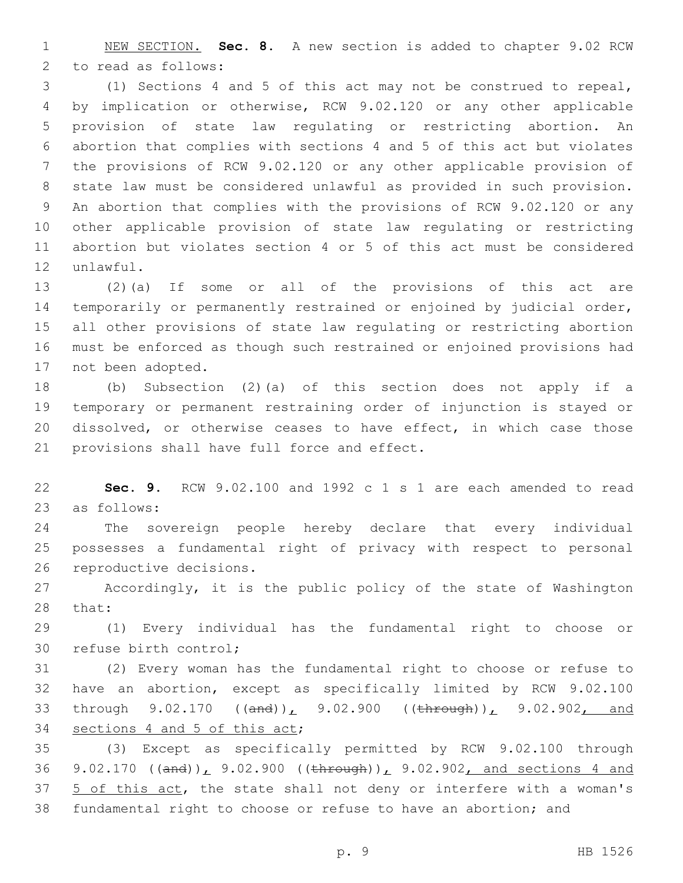NEW SECTION. **Sec. 8.** A new section is added to chapter 9.02 RCW 2 to read as follows:

 (1) Sections 4 and 5 of this act may not be construed to repeal, by implication or otherwise, RCW 9.02.120 or any other applicable provision of state law regulating or restricting abortion. An abortion that complies with sections 4 and 5 of this act but violates the provisions of RCW 9.02.120 or any other applicable provision of state law must be considered unlawful as provided in such provision. An abortion that complies with the provisions of RCW 9.02.120 or any other applicable provision of state law regulating or restricting abortion but violates section 4 or 5 of this act must be considered 12 unlawful.

 (2)(a) If some or all of the provisions of this act are temporarily or permanently restrained or enjoined by judicial order, all other provisions of state law regulating or restricting abortion must be enforced as though such restrained or enjoined provisions had 17 not been adopted.

 (b) Subsection (2)(a) of this section does not apply if a temporary or permanent restraining order of injunction is stayed or dissolved, or otherwise ceases to have effect, in which case those 21 provisions shall have full force and effect.

 **Sec. 9.** RCW 9.02.100 and 1992 c 1 s 1 are each amended to read 23 as follows:

 The sovereign people hereby declare that every individual possesses a fundamental right of privacy with respect to personal 26 reproductive decisions.

 Accordingly, it is the public policy of the state of Washington 28 that:

 (1) Every individual has the fundamental right to choose or 30 refuse birth control;

 (2) Every woman has the fundamental right to choose or refuse to have an abortion, except as specifically limited by RCW 9.02.100 33 through 9.02.170 ((and)), 9.02.900 ((through)), 9.02.902, and 34 sections 4 and 5 of this act;

 (3) Except as specifically permitted by RCW 9.02.100 through 36 9.02.170 ((and)), 9.02.900 ((through)), 9.02.902, and sections 4 and 37 5 of this act, the state shall not deny or interfere with a woman's fundamental right to choose or refuse to have an abortion; and